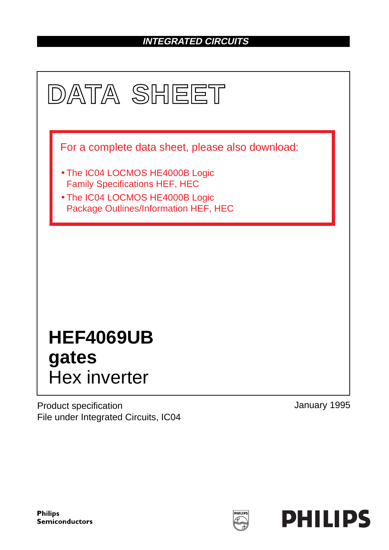# **INTEGRATED CIRCUITS**



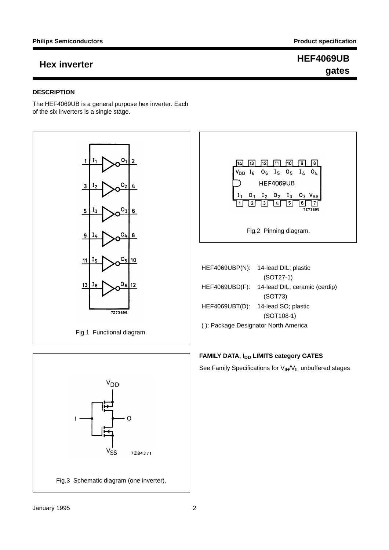## **DESCRIPTION**

The HEF4069UB is a general purpose hex inverter. Each of the six inverters is a single stage.







| <b>HEF4069UBP(N):</b>                | 14-lead DIL; plastic          |  |  |  |
|--------------------------------------|-------------------------------|--|--|--|
|                                      | $(SOT27-1)$                   |  |  |  |
| HEF4069UBD(F):                       | 14-lead DIL; ceramic (cerdip) |  |  |  |
|                                      | (SOT73)                       |  |  |  |
| HEF4069UBT(D):                       | 14-lead SO; plastic           |  |  |  |
|                                      | $(SOT108-1)$                  |  |  |  |
| (): Package Designator North America |                               |  |  |  |

## **FAMILY DATA, IDD LIMITS category GATES**

See Family Specifications for  $V_{IH}/V_{IL}$  unbuffered stages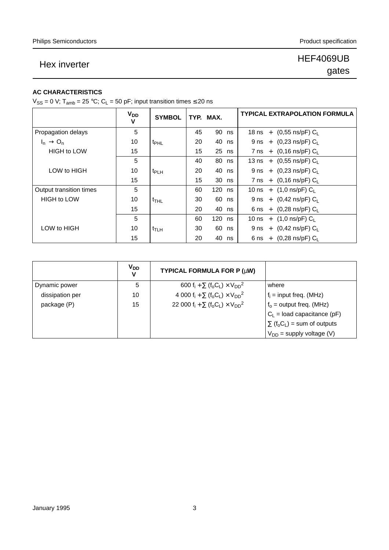## **AC CHARACTERISTICS**

 $V_{SS} = 0$  V; T<sub>amb</sub> = 25 °C; C<sub>L</sub> = 50 pF; input transition times  $\leq$  20 ns

|                         | <b>V<sub>DD</sub></b><br>v | <b>SYMBOL</b>      |    | TYP. MAX. | <b>TYPICAL EXTRAPOLATION FORMULA</b> |
|-------------------------|----------------------------|--------------------|----|-----------|--------------------------------------|
| Propagation delays      | 5                          |                    | 45 | 90<br>ns  | 18 ns + $(0,55 \text{ ns/pF}) C_L$   |
| $I_n \rightarrow O_n$   | 10                         | t <sub>PHL</sub>   | 20 | 40<br>ns  | 9 ns + $(0,23 \text{ ns/pF}) C_L$    |
| <b>HIGH to LOW</b>      | 15                         |                    | 15 | 25<br>ns  | 7 ns + $(0,16 \text{ ns/pF}) C_L$    |
|                         | 5                          |                    | 40 | 80<br>ns  | 13 ns + $(0,55 \text{ ns/pF}) C_1$   |
| LOW to HIGH             | 10                         | t <sub>PLH</sub>   | 20 | 40<br>ns  | 9 ns + $(0,23 \text{ ns/pF}) C_1$    |
|                         | 15                         |                    | 15 | 30<br>ns  | 7 ns + $(0,16 \text{ ns/pF}) C_L$    |
| Output transition times | 5                          |                    | 60 | 120<br>ns | 10 ns + $(1,0 \text{ ns/pF}) C_1$    |
| <b>HIGH to LOW</b>      | 10                         | $t$ <sub>THL</sub> | 30 | 60<br>ns  | 9 ns + $(0,42 \text{ ns/pF}) C_L$    |
|                         | 15                         |                    | 20 | 40<br>ns  | 6 ns + $(0,28 \text{ ns/pF}) C_L$    |
|                         | 5                          |                    | 60 | 120<br>ns | 10 ns + $(1,0 \text{ ns/pF}) C_1$    |
| LOW to HIGH             | 10                         | t <sub>TLH</sub>   | 30 | 60<br>ns  | 9 ns + $(0,42 \text{ ns/pF}) C_L$    |
|                         | 15                         |                    | 20 | 40<br>ns  | 6 ns + $(0,28 \text{ ns/pF}) C_L$    |

|                 | V <sub>DD</sub> | TYPICAL FORMULA FOR P (µW)                                                                       |                                                            |
|-----------------|-----------------|--------------------------------------------------------------------------------------------------|------------------------------------------------------------|
| Dynamic power   | 5               | 600 f <sub>i</sub> + $\Sigma$ (f <sub>o</sub> C <sub>L</sub> ) × V <sub>DD</sub> <sup>2</sup>    | where                                                      |
| dissipation per | 10              | 4 000 f <sub>i</sub> + $\Sigma$ (f <sub>o</sub> C <sub>L</sub> ) × V <sub>DD</sub> <sup>2</sup>  | $f_i$ = input freq. (MHz)                                  |
| package (P)     | 15              | 22 000 f <sub>i</sub> + $\Sigma$ (f <sub>o</sub> C <sub>L</sub> ) × V <sub>DD</sub> <sup>2</sup> | $f_0$ = output freq. (MHz)                                 |
|                 |                 |                                                                                                  | $C_L$ = load capacitance (pF)                              |
|                 |                 |                                                                                                  | $\Sigma$ (f <sub>o</sub> C <sub>L</sub> ) = sum of outputs |
|                 |                 |                                                                                                  | $V_{DD}$ = supply voltage (V)                              |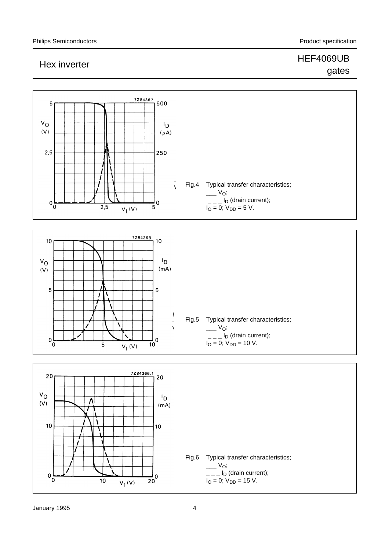# Hex inverter **HEF4069UB**

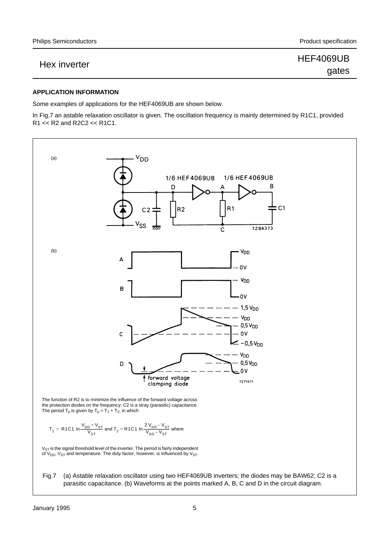## **APPLICATION INFORMATION**

Some examples of applications for the HEF4069UB are shown below.

In Fig.7 an astable relaxation oscillator is given. The oscillation frequency is mainly determined by R1C1, provided R1 << R2 and R2C2 << R1C1.

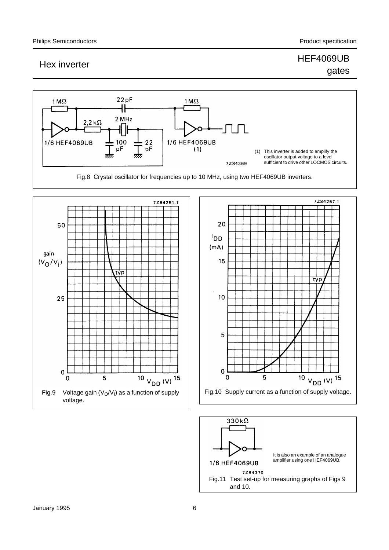

Fig.8 Crystal oscillator for frequencies up to 10 MHz, using two HEF4069UB inverters.